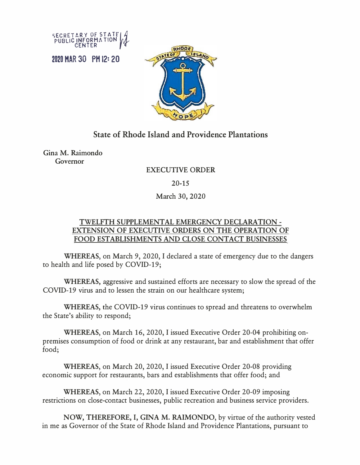SECRETARY OF STATE

2020 HAR 30 PH 12: 20



## **State of Rhode Island and Providence Plantations**

Gina M. Raimondo Governor

## EXECUTIVE ORDER

20-15

## March 30, 2020

## **TWELFTH SUPPLEMENT AL EMERGENCY DECLARATION - EXTENSION OF EXECUTIVE ORDERS ON THE OPERATION OF FOOD ESTABLISHMENTS AND CLOSE CONTACT BUSINESSES**

**WHEREAS,** on March 9, 2020, I declared a state of emergency due to the dangers to health and life posed by COVID-19;

**WHEREAS,** aggressive and sustained efforts are necessary to slow the spread of the COVID-19 virus and to lessen the strain on our healthcare system;

**WHEREAS,** the COVID-19 virus continues to spread and threatens to overwhelm the State's ability to respond;

**WHEREAS,** on March 16, 2020, I issued Executive Order 20-04 prohibiting onpremises consumption of food or drink at any restaurant, bar and establishment that offer food;

**WHEREAS,** on March 20, 2020, I issued Executive Order 20-08 providing economic support for restaurants, bars and establishments that offer food; and

**WHEREAS,** on March 22, 2020, I issued Executive Order 20-09 imposing restrictions on close-contact businesses, public recreation and business service providers.

**NOW, THEREFORE,** I, **GINA M. RAIMONDO,** by virtue of the authority vested in me as Governor of the State of Rhode Island and Providence Plantations, pursuant to